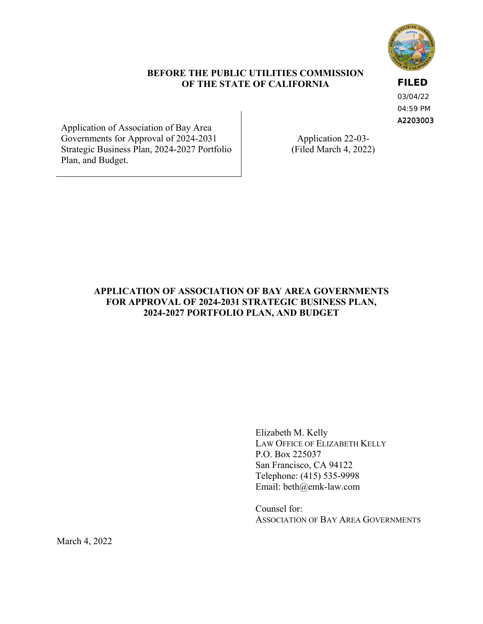

## **BEFORE THE PUBLIC UTILITIES COMMISSION OF THE STATE OF CALIFORNIA**

A2203003 **FILED** 03/04/22 04:59 PM

Application of Association of Bay Area Governments for Approval of 2024-2031 Application 22-03-Strategic Business Plan, 2024-2027 Portfolio (Filed March 4, 2022) Plan, and Budget.

## **APPLICATION OF ASSOCIATION OF BAY AREA GOVERNMENTS FOR APPROVAL OF 2024-2031 STRATEGIC BUSINESS PLAN, 2024-2027 PORTFOLIO PLAN, AND BUDGET**

Elizabeth M. Kelly LAW OFFICE OF ELIZABETH KELLY P.O. Box 225037 San Francisco, CA 94122 Telephone: (415) 535-9998 Email: [beth@emk-law.com](mailto:beth@emk-law.com) 

Counsel for: ASSOCIATION OF BAY AREA GOVERNMENTS

March 4, 2022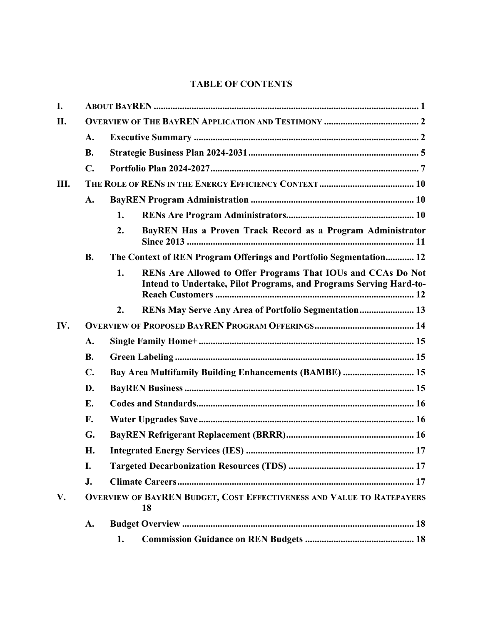# **TABLE OF CONTENTS**

| I.  |                |                                                                                                                                          |  |  |  |  |  |  |
|-----|----------------|------------------------------------------------------------------------------------------------------------------------------------------|--|--|--|--|--|--|
| II. |                |                                                                                                                                          |  |  |  |  |  |  |
|     | A.             |                                                                                                                                          |  |  |  |  |  |  |
|     | <b>B.</b>      |                                                                                                                                          |  |  |  |  |  |  |
|     | $\mathbf{C}$ . |                                                                                                                                          |  |  |  |  |  |  |
| Ш.  |                |                                                                                                                                          |  |  |  |  |  |  |
|     | A.             |                                                                                                                                          |  |  |  |  |  |  |
|     |                | 1.                                                                                                                                       |  |  |  |  |  |  |
|     |                | 2.<br>BayREN Has a Proven Track Record as a Program Administrator                                                                        |  |  |  |  |  |  |
|     | <b>B.</b>      | The Context of REN Program Offerings and Portfolio Segmentation 12                                                                       |  |  |  |  |  |  |
|     |                | RENs Are Allowed to Offer Programs That IOUs and CCAs Do Not<br>1.<br>Intend to Undertake, Pilot Programs, and Programs Serving Hard-to- |  |  |  |  |  |  |
|     |                | RENs May Serve Any Area of Portfolio Segmentation 13<br>2.                                                                               |  |  |  |  |  |  |
| IV. |                |                                                                                                                                          |  |  |  |  |  |  |
|     | A.             |                                                                                                                                          |  |  |  |  |  |  |
|     | <b>B.</b>      |                                                                                                                                          |  |  |  |  |  |  |
|     | $C_{\bullet}$  | Bay Area Multifamily Building Enhancements (BAMBE)  15                                                                                   |  |  |  |  |  |  |
|     | D.             |                                                                                                                                          |  |  |  |  |  |  |
|     | E.             |                                                                                                                                          |  |  |  |  |  |  |
|     | F.             |                                                                                                                                          |  |  |  |  |  |  |
|     | G.             |                                                                                                                                          |  |  |  |  |  |  |
|     | Н.             |                                                                                                                                          |  |  |  |  |  |  |
|     | I.             |                                                                                                                                          |  |  |  |  |  |  |
|     | J.             |                                                                                                                                          |  |  |  |  |  |  |
| V.  |                | <b>OVERVIEW OF BAYREN BUDGET, COST EFFECTIVENESS AND VALUE TO RATEPAYERS</b><br>18                                                       |  |  |  |  |  |  |
|     | A.             |                                                                                                                                          |  |  |  |  |  |  |
|     |                | 1.                                                                                                                                       |  |  |  |  |  |  |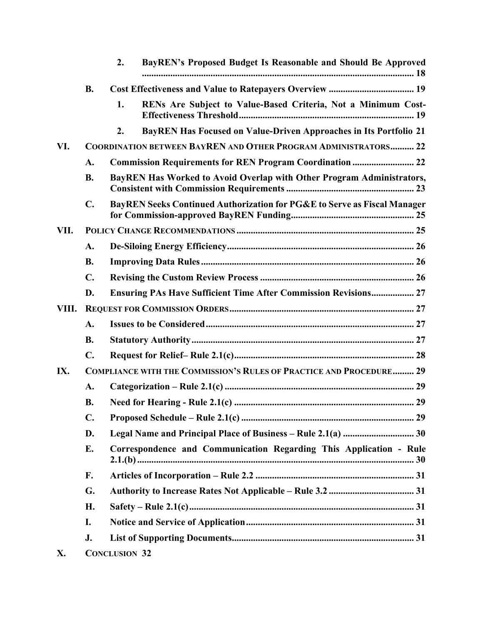|       |                | 2.                   | BayREN's Proposed Budget Is Reasonable and Should Be Approved              |
|-------|----------------|----------------------|----------------------------------------------------------------------------|
|       | <b>B.</b>      |                      |                                                                            |
|       |                | 1.                   | RENs Are Subject to Value-Based Criteria, Not a Minimum Cost-              |
|       |                | 2.                   | <b>BayREN Has Focused on Value-Driven Approaches in Its Portfolio 21</b>   |
| VI.   |                |                      | <b>COORDINATION BETWEEN BAYREN AND OTHER PROGRAM ADMINISTRATORS 22</b>     |
|       | A.             |                      |                                                                            |
|       | <b>B.</b>      |                      | BayREN Has Worked to Avoid Overlap with Other Program Administrators,      |
|       | $\mathbf{C}$ . |                      | BayREN Seeks Continued Authorization for PG&E to Serve as Fiscal Manager   |
| VII.  |                |                      |                                                                            |
|       | A.             |                      |                                                                            |
|       | <b>B.</b>      |                      |                                                                            |
|       | $\mathbf{C}$ . |                      |                                                                            |
|       | D.             |                      | <b>Ensuring PAs Have Sufficient Time After Commission Revisions 27</b>     |
| VIII. |                |                      |                                                                            |
|       | A.             |                      |                                                                            |
|       | <b>B.</b>      |                      |                                                                            |
|       | $\mathbf{C}$ . |                      |                                                                            |
| IX.   |                |                      | <b>COMPLIANCE WITH THE COMMISSION'S RULES OF PRACTICE AND PROCEDURE 29</b> |
|       | A.             |                      |                                                                            |
|       | <b>B.</b>      |                      |                                                                            |
|       | $\mathbf{C}$ . |                      |                                                                            |
|       | D.             |                      |                                                                            |
|       | Е.             |                      | Correspondence and Communication Regarding This Application - Rule         |
|       | F.             |                      |                                                                            |
|       | G.             |                      |                                                                            |
|       | H.             |                      |                                                                            |
|       | I.             |                      |                                                                            |
|       | J.             |                      |                                                                            |
| X.    |                | <b>CONCLUSION 32</b> |                                                                            |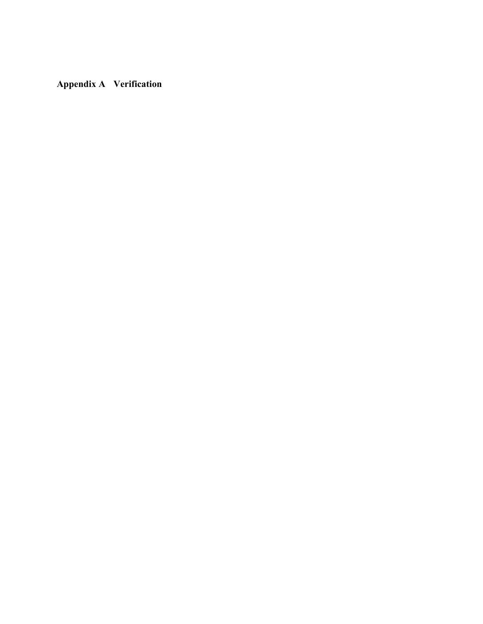**Appendix A Verification**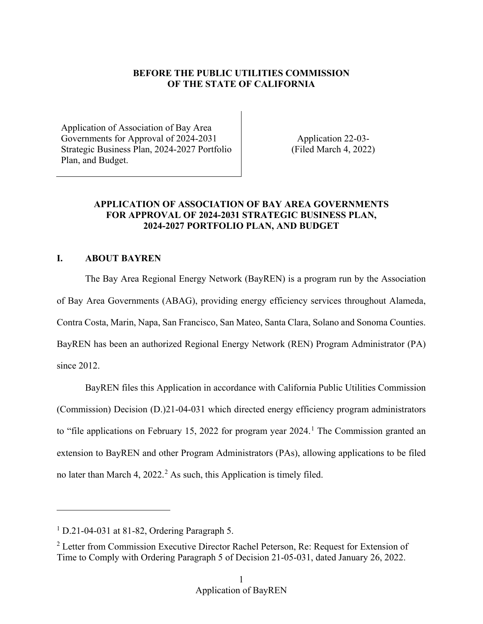## **BEFORE THE PUBLIC UTILITIES COMMISSION OF THE STATE OF CALIFORNIA**

Application of Association of Bay Area Governments for Approval of 2024-2031 Application 22-03-Strategic Business Plan, 2024-2027 Portfolio (Filed March 4, 2022) Plan, and Budget.

## **APPLICATION OF ASSOCIATION OF BAY AREA GOVERNMENTS FOR APPROVAL OF 2024-2031 STRATEGIC BUSINESS PLAN, 2024-2027 PORTFOLIO PLAN, AND BUDGET**

## <span id="page-4-0"></span>**I. ABOUT BAYREN**

The Bay Area Regional Energy Network (BayREN) is a program run by the Association of Bay Area Governments (ABAG), providing energy efficiency services throughout Alameda, Contra Costa, Marin, Napa, San Francisco, San Mateo, Santa Clara, Solano and Sonoma Counties. BayREN has been an authorized Regional Energy Network (REN) Program Administrator (PA) since 2012.

BayREN files this Application in accordance with California Public Utilities Commission (Commission) Decision (D.)21-04-031 which directed energy efficiency program administrators to "file applications on February 15, 2022 for program year  $2024$ .<sup>1</sup> The Commission granted an extension to BayREN and other Program Administrators (PAs), allowing applications to be filed no later than March 4, 2022. [2](#page-4-2) As such, this Application is timely filed.

-

<span id="page-4-1"></span><sup>1</sup> D.21-04-031 at 81-82, Ordering Paragraph 5.

<span id="page-4-2"></span><sup>&</sup>lt;sup>2</sup> Letter from Commission Executive Director Rachel Peterson, Re: Request for Extension of Time to Comply with Ordering Paragraph 5 of Decision 21-05-031, dated January 26, 2022.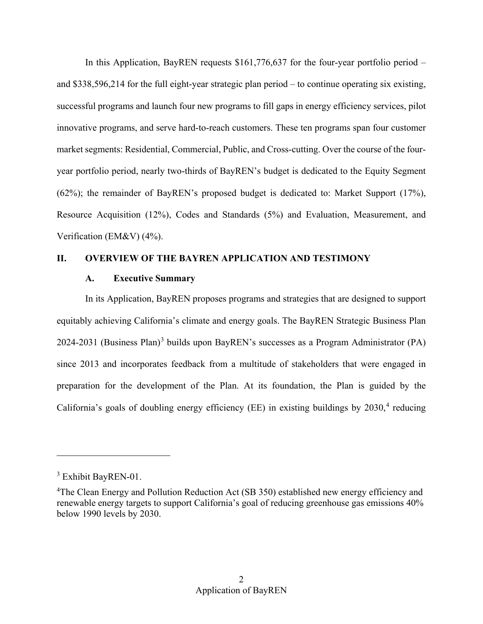In this Application, BayREN requests \$161,776,637 for the four-year portfolio period – Verification (EM&V) (4%). and \$338,596,214 for the full eight-year strategic plan period – to continue operating six existing, successful programs and launch four new programs to fill gaps in energy efficiency services, pilot innovative programs, and serve hard-to-reach customers. These ten programs span four customer market segments: Residential, Commercial, Public, and Cross-cutting. Over the course of the fouryear portfolio period, nearly two-thirds of BayREN's budget is dedicated to the Equity Segment (62%); the remainder of BayREN's proposed budget is dedicated to: Market Support (17%), Resource Acquisition (12%), Codes and Standards (5%) and Evaluation, Measurement, and

### <span id="page-5-1"></span><span id="page-5-0"></span>**II. OVERVIEW OF THE BAYREN APPLICATION AND TESTIMONY**

#### **A. Executive Summary**

California's goals of doubling energy efficiency (EE) in existing buildings by  $2030$ ,<sup>4</sup> reducing In its Application, BayREN proposes programs and strategies that are designed to support equitably achieving California's climate and energy goals. The BayREN Strategic Business Plan 2024-2031 (Business Plan)[3](#page-5-2) builds upon BayREN's successes as a Program Administrator (PA) since 2013 and incorporates feedback from a multitude of stakeholders that were engaged in preparation for the development of the Plan. At its foundation, the Plan is guided by the

<span id="page-5-2"></span><sup>&</sup>lt;sup>3</sup> Exhibit BayREN-01.

<span id="page-5-3"></span> renewable energy targets to support California's goal of reducing greenhouse gas emissions 40% <sup>4</sup>The Clean Energy and Pollution Reduction Act (SB 350) established new energy efficiency and below 1990 levels by 2030.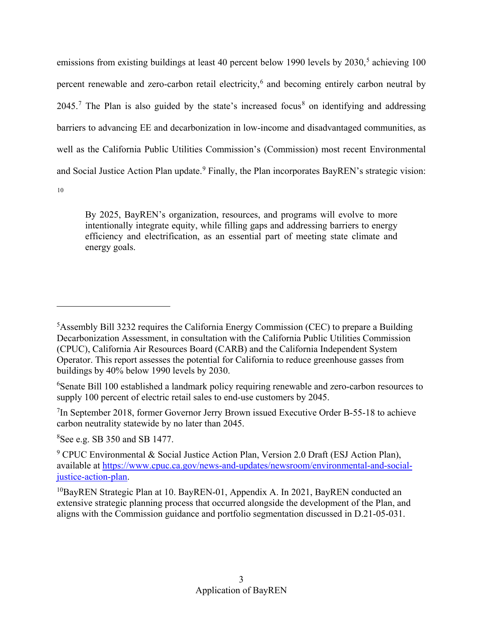emissions from existing buildings at least 40 percent below 1990 levels by 2030,<sup>5</sup> achieving 100 [10](#page-6-5)  percent renewable and zero-carbon retail electricity,<sup>6</sup> and becoming entirely carbon neutral by  $2045$ .<sup>[7](#page-6-2)</sup> The Plan is also guided by the state's increased focus<sup>8</sup> on identifying and addressing barriers to advancing EE and decarbonization in low-income and disadvantaged communities, as well as the California Public Utilities Commission's (Commission) most recent Environmental and Social Justice Action Plan update.<sup>9</sup> Finally, the Plan incorporates BayREN's strategic vision:

 intentionally integrate equity, while filling gaps and addressing barriers to energy By 2025, BayREN's organization, resources, and programs will evolve to more efficiency and electrification, as an essential part of meeting state climate and energy goals.

<span id="page-6-2"></span> $7$ In September 2018, former Governor Jerry Brown issued Executive Order B-55-18 to achieve carbon neutrality statewide by no later than 2045.

<span id="page-6-3"></span>8 See e.g. SB 350 and SB 1477.

<span id="page-6-0"></span> buildings by 40% below 1990 levels by 2030. <sup>5</sup> Assembly Bill 3232 requires the California Energy Commission (CEC) to prepare a Building Decarbonization Assessment, in consultation with the California Public Utilities Commission (CPUC), California Air Resources Board (CARB) and the California Independent System Operator. This report assesses the potential for California to reduce greenhouse gasses from

<span id="page-6-1"></span><sup>&</sup>lt;sup>6</sup>Senate Bill 100 established a landmark policy requiring renewable and zero-carbon resources to supply 100 percent of electric retail sales to end-use customers by 2045.

<span id="page-6-4"></span><sup>&</sup>lt;sup>9</sup> CPUC Environmental & Social Justice Action Plan, Version 2.0 Draft (ESJ Action Plan), available at [https://www.cpuc.ca.gov/news-and-updates/newsroom/environmental-and-social](https://www.cpuc.ca.gov/news-and-updates/newsroom/environmental-and-social-justice-action-plan)[justice-action-plan.](https://www.cpuc.ca.gov/news-and-updates/newsroom/environmental-and-social-justice-action-plan)

<span id="page-6-5"></span> $10B$ ayREN Strategic Plan at 10. BayREN-01, Appendix A. In 2021, BayREN conducted an extensive strategic planning process that occurred alongside the development of the Plan, and aligns with the Commission guidance and portfolio segmentation discussed in D.21-05-031.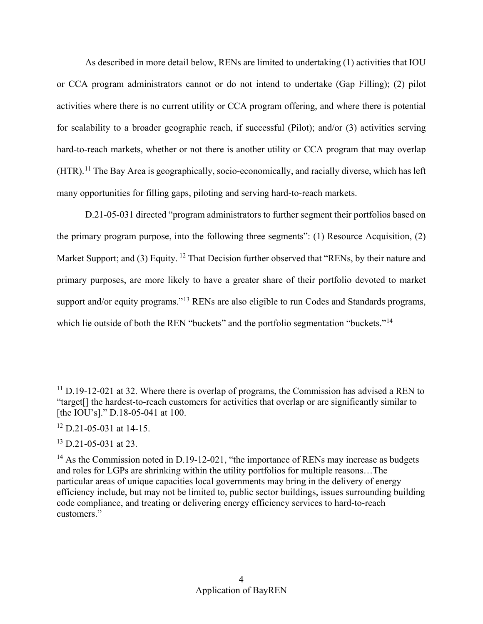As described in more detail below, RENs are limited to undertaking (1) activities that IOU hard-to-reach markets, whether or not there is another utility or CCA program that may overlap or CCA program administrators cannot or do not intend to undertake (Gap Filling); (2) pilot activities where there is no current utility or CCA program offering, and where there is potential for scalability to a broader geographic reach, if successful (Pilot); and/or (3) activities serving (HTR).<sup>11</sup> The Bay Area is geographically, socio-economically, and racially diverse, which has left many opportunities for filling gaps, piloting and serving hard-to-reach markets.

support and/or equity programs."<sup>13</sup> RENs are also eligible to run Codes and Standards programs, D.21-05-031 directed "program administrators to further segment their portfolios based on the primary program purpose, into the following three segments": (1) Resource Acquisition, (2) Market Support; and (3) Equity. <sup>12</sup> That Decision further observed that "RENs, by their nature and primary purposes, are more likely to have a greater share of their portfolio devoted to market which lie outside of both the REN "buckets" and the portfolio segmentation "buckets."<sup>[14](#page-7-3)</sup>

<span id="page-7-0"></span> $11$  D.19-12-021 at 32. Where there is overlap of programs, the Commission has advised a REN to "target[] the hardest-to-reach customers for activities that overlap or are significantly similar to [the IOU's]." D.18-05-041 at 100.

<span id="page-7-1"></span> $12$  D.21-05-031 at 14-15.

<span id="page-7-2"></span> $13$  D.21-05-031 at 23.

<span id="page-7-3"></span> and roles for LGPs are shrinking within the utility portfolios for multiple reasons…The  $14$  As the Commission noted in D.19-12-021, "the importance of RENs may increase as budgets particular areas of unique capacities local governments may bring in the delivery of energy efficiency include, but may not be limited to, public sector buildings, issues surrounding building code compliance, and treating or delivering energy efficiency services to hard-to-reach customers."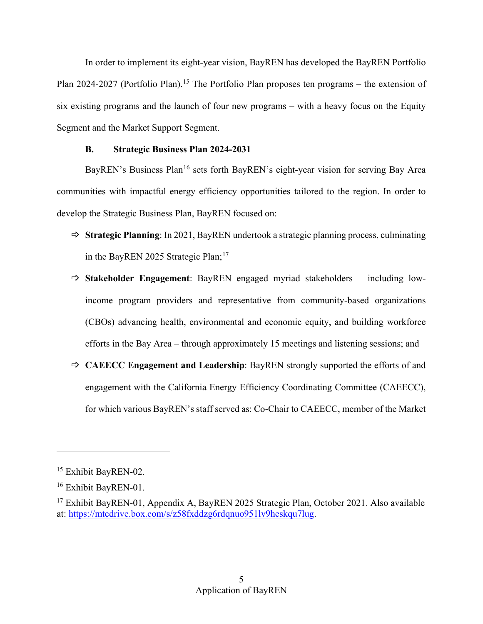In order to implement its eight-year vision, BayREN has developed the BayREN Portfolio Plan 2024-2027 (Portfolio Plan).<sup>[15](#page-8-1)</sup> The Portfolio Plan proposes ten programs – the extension of six existing programs and the launch of four new programs – with a heavy focus on the Equity Segment and the Market Support Segment.

## **B. Strategic Business Plan 2024-2031**

<span id="page-8-0"></span> develop the Strategic Business Plan, BayREN focused on: BayREN's Business Plan<sup>16</sup> sets forth BayREN's eight-year vision for serving Bay Area communities with impactful energy efficiency opportunities tailored to the region. In order to

- **Strategic Planning**: In 2021, BayREN undertook a strategic planning process, culminating in the BayREN 2025 Strategic Plan;<sup>[17](#page-8-3)</sup>
- efforts in the Bay Area through approximately 15 meetings and listening sessions; and **Stakeholder Engagement**: BayREN engaged myriad stakeholders – including lowincome program providers and representative from community-based organizations (CBOs) advancing health, environmental and economic equity, and building workforce
- engagement with the California Energy Efficiency Coordinating Committee (CAEECC), for which various BayREN's staff served as: Co-Chair to CAEECC, member of the Market **CAEECC Engagement and Leadership**: BayREN strongly supported the efforts of and

<span id="page-8-1"></span><sup>&</sup>lt;sup>15</sup> Exhibit BayREN-02.

<span id="page-8-2"></span><sup>&</sup>lt;sup>16</sup> Exhibit BayREN-01.

<span id="page-8-3"></span><sup>&</sup>lt;sup>17</sup> Exhibit BayREN-01, Appendix A, BayREN 2025 Strategic Plan, October 2021. Also available at: [https://mtcdrive.box.com/s/z58fxddzg6rdqnuo951lv9heskqu7lug.](https://mtcdrive.box.com/s/z58fxddzg6rdqnuo951lv9heskqu7lug)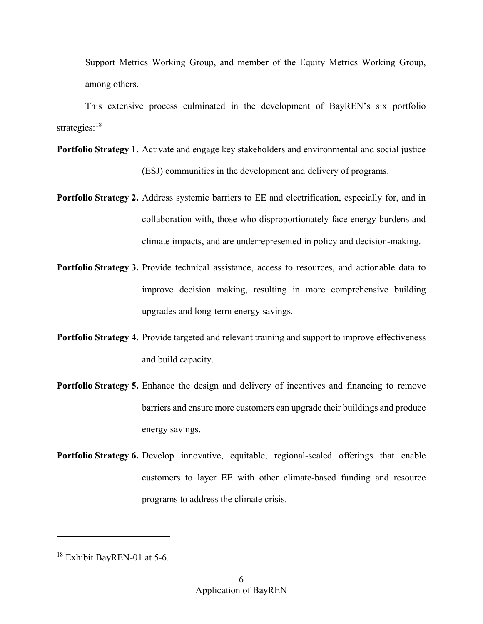Support Metrics Working Group, and member of the Equity Metrics Working Group, among others.

This extensive process culminated in the development of BayREN's six portfolio strategies:<sup>[18](#page-9-0)</sup>

- **Portfolio Strategy 1.** Activate and engage key stakeholders and environmental and social justice (ESJ) communities in the development and delivery of programs.
- **Portfolio Strategy 2.** Address systemic barriers to EE and electrification, especially for, and in collaboration with, those who disproportionately face energy burdens and climate impacts, and are underrepresented in policy and decision-making.
- Portfolio Strategy 3. Provide technical assistance, access to resources, and actionable data to improve decision making, resulting in more comprehensive building upgrades and long-term energy savings.
- Portfolio Strategy 4. Provide targeted and relevant training and support to improve effectiveness and build capacity.
- Portfolio Strategy 5. Enhance the design and delivery of incentives and financing to remove barriers and ensure more customers can upgrade their buildings and produce energy savings.
- **Portfolio Strategy 6.** Develop innovative, equitable, regional-scaled offerings that enable customers to layer EE with other climate-based funding and resource programs to address the climate crisis.

<u>.</u>

<span id="page-9-0"></span><sup>&</sup>lt;sup>18</sup> Exhibit BayREN-01 at 5-6.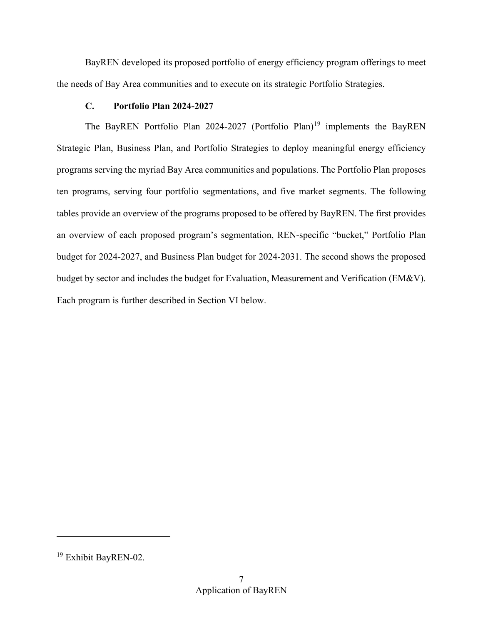the needs of Bay Area communities and to execute on its strategic Portfolio Strategies. BayREN developed its proposed portfolio of energy efficiency program offerings to meet

## **C. Portfolio Plan 2024-2027**

<span id="page-10-0"></span> tables provide an overview of the programs proposed to be offered by BayREN. The first provides Each program is further described in Section VI below. The BayREN Portfolio Plan 2024-2027 (Portfolio Plan)<sup>[19](#page-10-1)</sup> implements the BayREN Strategic Plan, Business Plan, and Portfolio Strategies to deploy meaningful energy efficiency programs serving the myriad Bay Area communities and populations. The Portfolio Plan proposes ten programs, serving four portfolio segmentations, and five market segments. The following an overview of each proposed program's segmentation, REN-specific "bucket," Portfolio Plan budget for 2024-2027, and Business Plan budget for 2024-2031. The second shows the proposed budget by sector and includes the budget for Evaluation, Measurement and Verification (EM&V).

<span id="page-10-1"></span><sup>19</sup> Exhibit BayREN-02.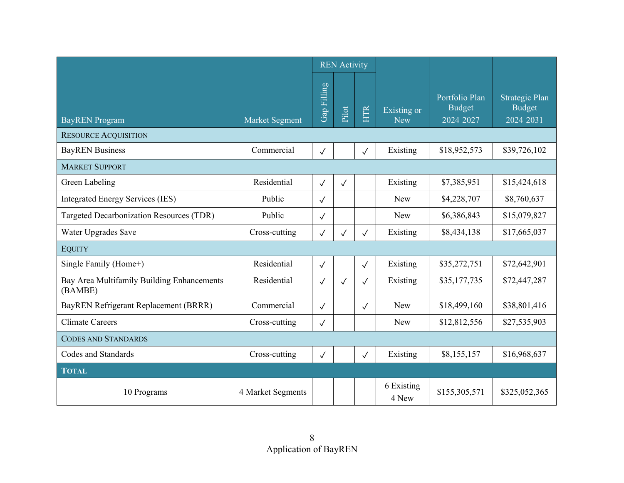|                                                       |                       | <b>REN</b> Activity |              |              |                           |                                              |                                                     |
|-------------------------------------------------------|-----------------------|---------------------|--------------|--------------|---------------------------|----------------------------------------------|-----------------------------------------------------|
| <b>BayREN</b> Program                                 | <b>Market Segment</b> | Gap Filling         | Pilot        | HTR          | Existing or<br><b>New</b> | Portfolio Plan<br><b>Budget</b><br>2024 2027 | <b>Strategic Plan</b><br><b>Budget</b><br>2024 2031 |
| <b>RESOURCE ACQUISITION</b>                           |                       |                     |              |              |                           |                                              |                                                     |
| <b>BayREN</b> Business                                | Commercial            | $\checkmark$        |              | $\checkmark$ | Existing                  | \$18,952,573                                 | \$39,726,102                                        |
| <b>MARKET SUPPORT</b>                                 |                       |                     |              |              |                           |                                              |                                                     |
| Green Labeling                                        | Residential           | $\checkmark$        | $\checkmark$ |              | Existing                  | \$7,385,951                                  | \$15,424,618                                        |
| <b>Integrated Energy Services (IES)</b>               | Public                | $\sqrt{}$           |              |              | <b>New</b>                | \$4,228,707                                  | \$8,760,637                                         |
| Targeted Decarbonization Resources (TDR)              | Public                | $\checkmark$        |              |              | <b>New</b>                | \$6,386,843                                  | \$15,079,827                                        |
| Water Upgrades \$ave                                  | Cross-cutting         | $\checkmark$        | $\sqrt{}$    | $\checkmark$ | Existing                  | \$8,434,138                                  | \$17,665,037                                        |
| <b>EQUITY</b>                                         |                       |                     |              |              |                           |                                              |                                                     |
| Single Family (Home+)                                 | Residential           | $\checkmark$        |              | $\checkmark$ | Existing                  | \$35,272,751                                 | \$72,642,901                                        |
| Bay Area Multifamily Building Enhancements<br>(BAMBE) | Residential           | $\checkmark$        | $\checkmark$ | $\checkmark$ | Existing                  | \$35,177,735                                 | \$72,447,287                                        |
| BayREN Refrigerant Replacement (BRRR)                 | Commercial            | $\checkmark$        |              | $\checkmark$ | <b>New</b>                | \$18,499,160                                 | \$38,801,416                                        |
| <b>Climate Careers</b>                                | Cross-cutting         | $\checkmark$        |              |              | <b>New</b>                | \$12,812,556                                 | \$27,535,903                                        |
| <b>CODES AND STANDARDS</b>                            |                       |                     |              |              |                           |                                              |                                                     |
| Codes and Standards                                   | Cross-cutting         | $\checkmark$        |              | $\checkmark$ | Existing                  | \$8,155,157                                  | \$16,968,637                                        |
| <b>TOTAL</b>                                          |                       |                     |              |              |                           |                                              |                                                     |
| 10 Programs                                           | 4 Market Segments     |                     |              |              | 6 Existing<br>4 New       | \$155,305,571                                | \$325,052,365                                       |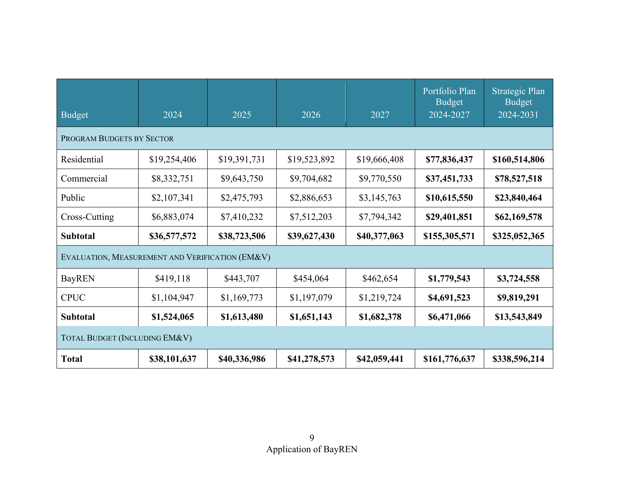| Budget                                          | 2024         | 2025         | 2026         | 2027         | Portfolio Plan<br><b>Budget</b><br>2024-2027 | Strategic Plan<br><b>Budget</b><br>2024-2031 |
|-------------------------------------------------|--------------|--------------|--------------|--------------|----------------------------------------------|----------------------------------------------|
| PROGRAM BUDGETS BY SECTOR                       |              |              |              |              |                                              |                                              |
| Residential                                     | \$19,254,406 | \$19,391,731 | \$19,523,892 | \$19,666,408 | \$77,836,437                                 | \$160,514,806                                |
| Commercial                                      | \$8,332,751  | \$9,643,750  | \$9,704,682  | \$9,770,550  | \$37,451,733                                 | \$78,527,518                                 |
| Public                                          | \$2,107,341  | \$2,475,793  | \$2,886,653  | \$3,145,763  | \$10,615,550                                 | \$23,840,464                                 |
| Cross-Cutting                                   | \$6,883,074  | \$7,410,232  | \$7,512,203  | \$7,794,342  | \$29,401,851                                 | \$62,169,578                                 |
| Subtotal                                        | \$36,577,572 | \$38,723,506 | \$39,627,430 | \$40,377,063 | \$155,305,571                                | \$325,052,365                                |
| EVALUATION, MEASUREMENT AND VERIFICATION (EM&V) |              |              |              |              |                                              |                                              |
| <b>BayREN</b>                                   | \$419,118    | \$443,707    | \$454,064    | \$462,654    | \$1,779,543                                  | \$3,724,558                                  |
| <b>CPUC</b>                                     | \$1,104,947  | \$1,169,773  | \$1,197,079  | \$1,219,724  | \$4,691,523                                  | \$9,819,291                                  |
| <b>Subtotal</b>                                 | \$1,524,065  | \$1,613,480  | \$1,651,143  | \$1,682,378  | \$6,471,066                                  | \$13,543,849                                 |
| TOTAL BUDGET (INCLUDING EM&V)                   |              |              |              |              |                                              |                                              |
| <b>Total</b>                                    | \$38,101,637 | \$40,336,986 | \$41,278,573 | \$42,059,441 | \$161,776,637                                | \$338,596,214                                |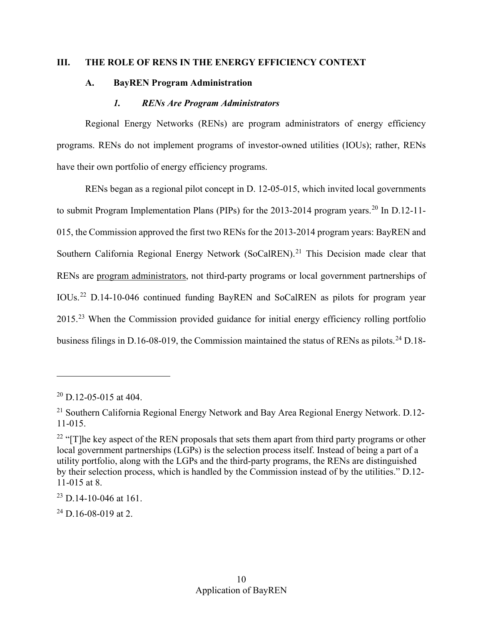### <span id="page-13-1"></span><span id="page-13-0"></span>**III. THE ROLE OF RENS IN THE ENERGY EFFICIENCY CONTEXT**

## **A. BayREN Program Administration**

#### *1. RENs Are Program Administrators*

<span id="page-13-2"></span>Regional Energy Networks (RENs) are program administrators of energy efficiency programs. RENs do not implement programs of investor-owned utilities (IOUs); rather, RENs have their own portfolio of energy efficiency programs.

RENs began as a regional pilot concept in D. 12-05-015, which invited local governments to submit Program Implementation Plans (PIPs) for the [20](#page-13-3)13-2014 program years.<sup>20</sup> In D.12-11-015, the Commission approved the first two RENs for the 2013-2014 program years: BayREN and Southern California Regional Energy Network (SoCalREN).<sup>21</sup> This Decision made clear that RENs are program administrators, not third-party programs or local government partnerships of IOUs.[22](#page-13-5) D.14-10-046 continued funding BayREN and SoCalREN as pilots for program year 2015.<sup>23</sup> When the Commission provided guidance for initial energy efficiency rolling portfolio business filings in D.16-08-019, the Commission maintained the status of RENs as pilots.<sup>24</sup> D.18-

 $\overline{a}$ 

<span id="page-13-7"></span> $24$  D.16-08-019 at 2.

<span id="page-13-3"></span> $20$  D.12-05-015 at 404.

<span id="page-13-4"></span><sup>&</sup>lt;sup>21</sup> Southern California Regional Energy Network and Bay Area Regional Energy Network. D.12-11-015.

<span id="page-13-5"></span><sup>&</sup>lt;sup>22</sup> " $[T]$ he key aspect of the REN proposals that sets them apart from third party programs or other local government partnerships (LGPs) is the selection process itself. Instead of being a part of a utility portfolio, along with the LGPs and the third-party programs, the RENs are distinguished by their selection process, which is handled by the Commission instead of by the utilities." D.12- 11-015 at 8.

<span id="page-13-6"></span> $^{23}$  D.14-10-046 at 161.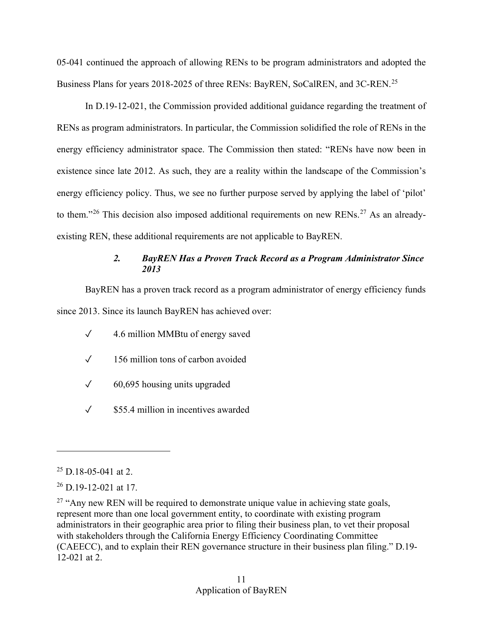Business Plans for years 2018-20[25](#page-14-1) of three RENs: BayREN, SoCalREN, and 3C-REN.<sup>25</sup> 05-041 continued the approach of allowing RENs to be program administrators and adopted the

In D.19-12-021, the Commission provided additional guidance regarding the treatment of RENs as program administrators. In particular, the Commission solidified the role of RENs in the energy efficiency administrator space. The Commission then stated: "RENs have now been in existence since late 2012. As such, they are a reality within the landscape of the Commission's energy efficiency policy. Thus, we see no further purpose served by applying the label of 'pilot' to them."<sup>[26](#page-14-2)</sup> This decision also imposed additional requirements on new RENs.<sup>27</sup> As an alreadyexisting REN, these additional requirements are not applicable to BayREN.

# *2. BayREN Has a Proven Track Record as a Program Administrator Since 2013*

<span id="page-14-0"></span>BayREN has a proven track record as a program administrator of energy efficiency funds since 2013. Since its launch BayREN has achieved over:

- ✓ 4.6 million MMBtu of energy saved
- ✓ 156 million tons of carbon avoided
- $\sqrt{60,695}$  housing units upgraded
- ✓ \$55.4 million in incentives awarded

<span id="page-14-1"></span> $25$  D.18-05-041 at 2.

<span id="page-14-2"></span> $26$  D.19-12-021 at 17.

<span id="page-14-3"></span> (CAEECC), and to explain their REN governance structure in their business plan filing." D.19-  $27$  "Any new REN will be required to demonstrate unique value in achieving state goals, represent more than one local government entity, to coordinate with existing program administrators in their geographic area prior to filing their business plan, to vet their proposal with stakeholders through the California Energy Efficiency Coordinating Committee 12-021 at 2.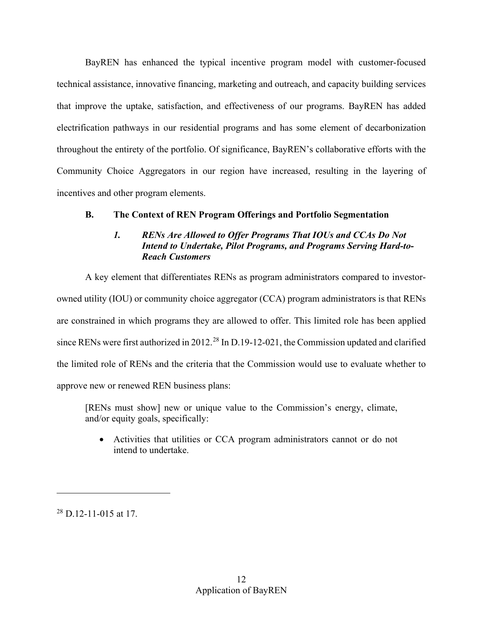BayREN has enhanced the typical incentive program model with customer-focused throughout the entirety of the portfolio. Of significance, BayREN's collaborative efforts with the technical assistance, innovative financing, marketing and outreach, and capacity building services that improve the uptake, satisfaction, and effectiveness of our programs. BayREN has added electrification pathways in our residential programs and has some element of decarbonization Community Choice Aggregators in our region have increased, resulting in the layering of incentives and other program elements.

## <span id="page-15-1"></span><span id="page-15-0"></span>**B. The Context of REN Program Offerings and Portfolio Segmentation**

## *1. RENs Are Allowed to Offer Programs That IOUs and CCAs Do Not Intend to Undertake, Pilot Programs, and Programs Serving Hard-to-Reach Customers*

 owned utility (IOU) or community choice aggregator (CCA) program administrators is that RENs since RENs were first authorized in 2012.<sup>28</sup> In D.19-12-021, the Commission updated and clarified A key element that differentiates RENs as program administrators compared to investorare constrained in which programs they are allowed to offer. This limited role has been applied the limited role of RENs and the criteria that the Commission would use to evaluate whether to approve new or renewed REN business plans:

 and/or equity goals, specifically: [RENs must show] new or unique value to the Commission's energy, climate,

• Activities that utilities or CCA program administrators cannot or do not intend to undertake.

<span id="page-15-2"></span> $28$  D.12-11-015 at 17.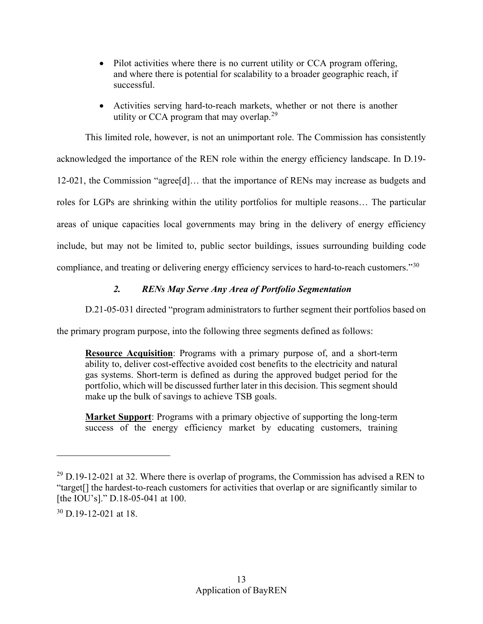- Pilot activities where there is no current utility or CCA program offering, and where there is potential for scalability to a broader geographic reach, if successful.
- Activities serving hard-to-reach markets, whether or not there is another utility or CCA program that may overlap.<sup>[29](#page-16-1)</sup>

 acknowledged the importance of the REN role within the energy efficiency landscape. In D.19- This limited role, however, is not an unimportant role. The Commission has consistently 12-021, the Commission "agree[d]… that the importance of RENs may increase as budgets and roles for LGPs are shrinking within the utility portfolios for multiple reasons… The particular areas of unique capacities local governments may bring in the delivery of energy efficiency include, but may not be limited to, public sector buildings, issues surrounding building code compliance, and treating or delivering energy efficiency services to hard-to-reach customers."[30](#page-16-2) 

# *2. RENs May Serve Any Area of Portfolio Segmentation*

<span id="page-16-0"></span>D.21-05-031 directed "program administrators to further segment their portfolios based on

the primary program purpose, into the following three segments defined as follows:

**Resource Acquisition**: Programs with a primary purpose of, and a short-term ability to, deliver cost-effective avoided cost benefits to the electricity and natural gas systems. Short-term is defined as during the approved budget period for the portfolio, which will be discussed further later in this decision. This segment should make up the bulk of savings to achieve TSB goals.

**Market Support**: Programs with a primary objective of supporting the long-term success of the energy efficiency market by educating customers, training

<span id="page-16-2"></span> $30$  D.19-12-021 at 18.

-

<span id="page-16-1"></span> $^{29}$  D.19-12-021 at 32. Where there is overlap of programs, the Commission has advised a REN to "target[] the hardest-to-reach customers for activities that overlap or are significantly similar to [the IOU's]." D.18-05-041 at 100.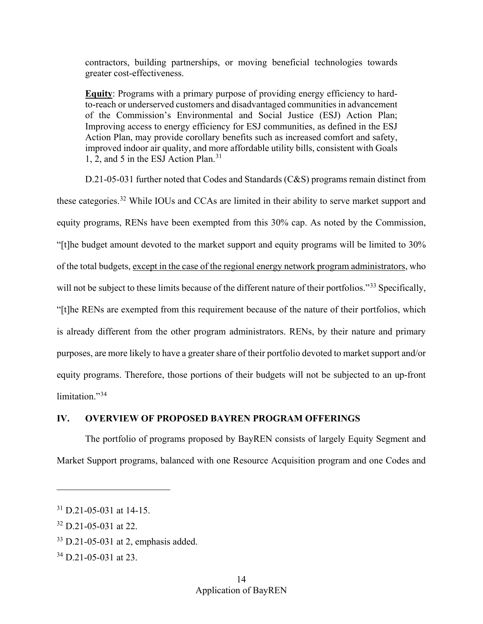contractors, building partnerships, or moving beneficial technologies towards greater cost-effectiveness.

 improved indoor air quality, and more affordable utility bills, consistent with Goals 1, 2, and 5 in the ESJ Action Plan.[31](#page-17-1)  **Equity**: Programs with a primary purpose of providing energy efficiency to hardto-reach or underserved customers and disadvantaged communities in advancement of the Commission's Environmental and Social Justice (ESJ) Action Plan; Improving access to energy efficiency for ESJ communities, as defined in the ESJ Action Plan, may provide corollary benefits such as increased comfort and safety,

 is already different from the other program administrators. RENs, by their nature and primary equity programs. Therefore, those portions of their budgets will not be subjected to an up-front limitation."<sup>34</sup> D.21-05-031 further noted that Codes and Standards (C&S) programs remain distinct from these categories.[32](#page-17-2) While IOUs and CCAs are limited in their ability to serve market support and equity programs, RENs have been exempted from this 30% cap. As noted by the Commission, "[t]he budget amount devoted to the market support and equity programs will be limited to 30% of the total budgets, except in the case of the regional energy network program administrators, who will not be subject to these limits because of the different nature of their portfolios."<sup>[33](#page-17-3)</sup> Specifically, "[t]he RENs are exempted from this requirement because of the nature of their portfolios, which purposes, are more likely to have a greater share of their portfolio devoted to market support and/or

## <span id="page-17-0"></span>**IV. OVERVIEW OF PROPOSED BAYREN PROGRAM OFFERINGS**

The portfolio of programs proposed by BayREN consists of largely Equity Segment and Market Support programs, balanced with one Resource Acquisition program and one Codes and

<span id="page-17-1"></span> $31$  D.21-05-031 at 14-15.

<span id="page-17-2"></span> $32$  D.21-05-031 at 22.

<span id="page-17-3"></span> $33$  D.21-05-031 at 2, emphasis added.

<span id="page-17-4"></span><sup>34</sup> D.21-05-031 at 23.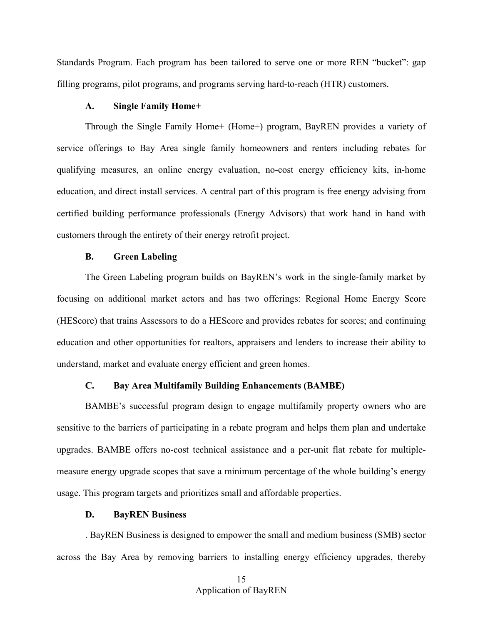Standards Program. Each program has been tailored to serve one or more REN "bucket": gap filling programs, pilot programs, and programs serving hard-to-reach (HTR) customers.

#### **A. Single Family Home+**

<span id="page-18-0"></span>Through the Single Family Home+ (Home+) program, BayREN provides a variety of service offerings to Bay Area single family homeowners and renters including rebates for qualifying measures, an online energy evaluation, no-cost energy efficiency kits, in-home education, and direct install services. A central part of this program is free energy advising from certified building performance professionals (Energy Advisors) that work hand in hand with customers through the entirety of their energy retrofit project.

### **B. Green Labeling**

<span id="page-18-1"></span> The Green Labeling program builds on BayREN's work in the single-family market by focusing on additional market actors and has two offerings: Regional Home Energy Score (HEScore) that trains Assessors to do a HEScore and provides rebates for scores; and continuing education and other opportunities for realtors, appraisers and lenders to increase their ability to understand, market and evaluate energy efficient and green homes.

## **C. Bay Area Multifamily Building Enhancements (BAMBE)**

<span id="page-18-2"></span>BAMBE's successful program design to engage multifamily property owners who are sensitive to the barriers of participating in a rebate program and helps them plan and undertake upgrades. BAMBE offers no-cost technical assistance and a per-unit flat rebate for multiplemeasure energy upgrade scopes that save a minimum percentage of the whole building's energy usage. This program targets and prioritizes small and affordable properties.

#### **D. BayREN Business**

<span id="page-18-3"></span> across the Bay Area by removing barriers to installing energy efficiency upgrades, thereby . BayREN Business is designed to empower the small and medium business (SMB) sector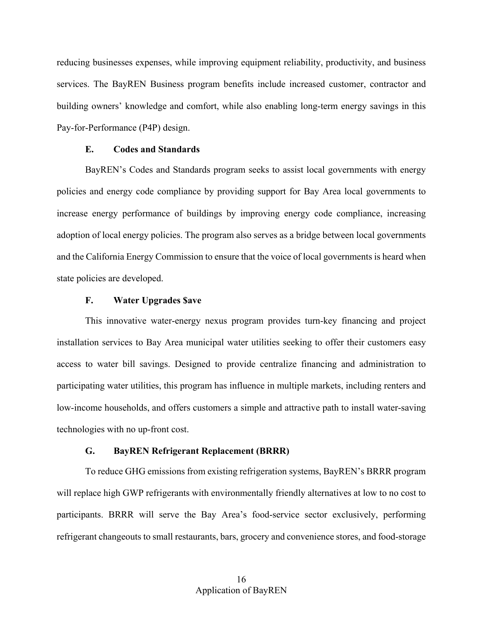reducing businesses expenses, while improving equipment reliability, productivity, and business services. The BayREN Business program benefits include increased customer, contractor and building owners' knowledge and comfort, while also enabling long-term energy savings in this Pay-for-Performance (P4P) design.

#### **E. Codes and Standards**

<span id="page-19-0"></span> and the California Energy Commission to ensure that the voice of local governments is heard when BayREN's Codes and Standards program seeks to assist local governments with energy policies and energy code compliance by providing support for Bay Area local governments to increase energy performance of buildings by improving energy code compliance, increasing adoption of local energy policies. The program also serves as a bridge between local governments state policies are developed.

#### **F. Water Upgrades \$ave**

<span id="page-19-1"></span> installation services to Bay Area municipal water utilities seeking to offer their customers easy participating water utilities, this program has influence in multiple markets, including renters and This innovative water-energy nexus program provides turn-key financing and project access to water bill savings. Designed to provide centralize financing and administration to low-income households, and offers customers a simple and attractive path to install water-saving technologies with no up-front cost.

## **G. BayREN Refrigerant Replacement (BRRR)**

<span id="page-19-2"></span>To reduce GHG emissions from existing refrigeration systems, BayREN's BRRR program will replace high GWP refrigerants with environmentally friendly alternatives at low to no cost to participants. BRRR will serve the Bay Area's food-service sector exclusively, performing refrigerant changeouts to small restaurants, bars, grocery and convenience stores, and food-storage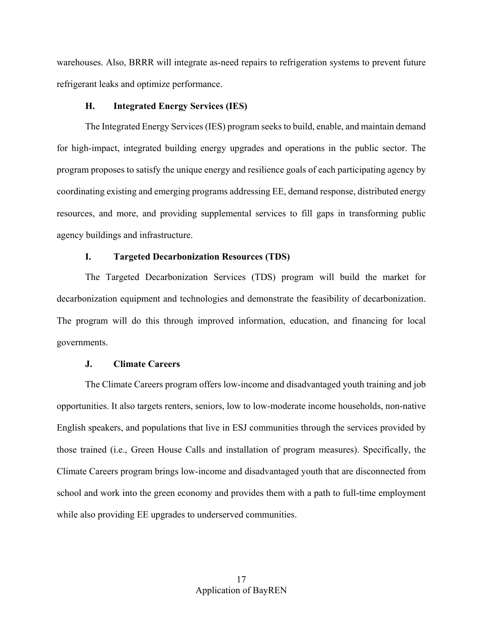warehouses. Also, BRRR will integrate as-need repairs to refrigeration systems to prevent future refrigerant leaks and optimize performance.

#### **H. Integrated Energy Services (IES)**

<span id="page-20-0"></span>The Integrated Energy Services (IES) program seeks to build, enable, and maintain demand for high-impact, integrated building energy upgrades and operations in the public sector. The program proposes to satisfy the unique energy and resilience goals of each participating agency by coordinating existing and emerging programs addressing EE, demand response, distributed energy resources, and more, and providing supplemental services to fill gaps in transforming public agency buildings and infrastructure.

### **I. Targeted Decarbonization Resources (TDS)**

<span id="page-20-1"></span>The Targeted Decarbonization Services (TDS) program will build the market for decarbonization equipment and technologies and demonstrate the feasibility of decarbonization. The program will do this through improved information, education, and financing for local governments.

#### **J. Climate Careers**

<span id="page-20-2"></span> opportunities. It also targets renters, seniors, low to low-moderate income households, non-native those trained (i.e., Green House Calls and installation of program measures). Specifically, the The Climate Careers program offers low-income and disadvantaged youth training and job English speakers, and populations that live in ESJ communities through the services provided by Climate Careers program brings low-income and disadvantaged youth that are disconnected from school and work into the green economy and provides them with a path to full-time employment while also providing EE upgrades to underserved communities.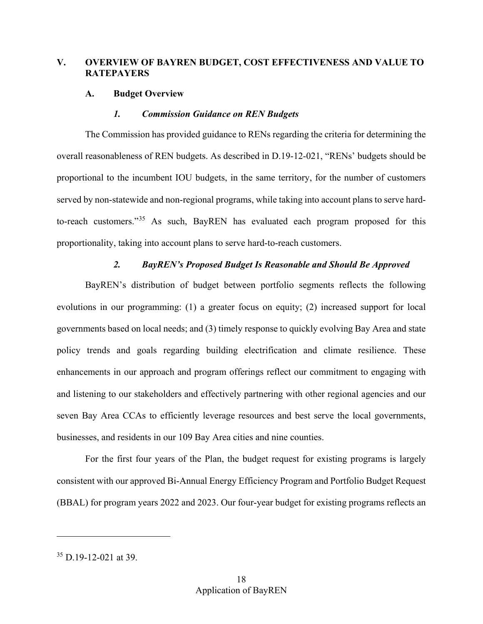## <span id="page-21-0"></span>**V. OVERVIEW OF BAYREN BUDGET, COST EFFECTIVENESS AND VALUE TO RATEPAYERS**

### <span id="page-21-1"></span> **A. Budget Overview**

#### *1. Commission Guidance on REN Budgets*

<span id="page-21-2"></span> overall reasonableness of REN budgets. As described in D.19-12-021, "RENs' budgets should be The Commission has provided guidance to RENs regarding the criteria for determining the proportional to the incumbent IOU budgets, in the same territory, for the number of customers served by non-statewide and non-regional programs, while taking into account plans to serve hardto-reach customers."[35](#page-21-4) As such, BayREN has evaluated each program proposed for this proportionality, taking into account plans to serve hard-to-reach customers.

## *2. BayREN's Proposed Budget Is Reasonable and Should Be Approved*

<span id="page-21-3"></span> governments based on local needs; and (3) timely response to quickly evolving Bay Area and state businesses, and residents in our 109 Bay Area cities and nine counties. BayREN's distribution of budget between portfolio segments reflects the following evolutions in our programming: (1) a greater focus on equity; (2) increased support for local policy trends and goals regarding building electrification and climate resilience. These enhancements in our approach and program offerings reflect our commitment to engaging with and listening to our stakeholders and effectively partnering with other regional agencies and our seven Bay Area CCAs to efficiently leverage resources and best serve the local governments,

 For the first four years of the Plan, the budget request for existing programs is largely (BBAL) for program years 2022 and 2023. Our four-year budget for existing programs reflects an consistent with our approved Bi-Annual Energy Efficiency Program and Portfolio Budget Request

<span id="page-21-4"></span><sup>35</sup> D.19-12-021 at 39.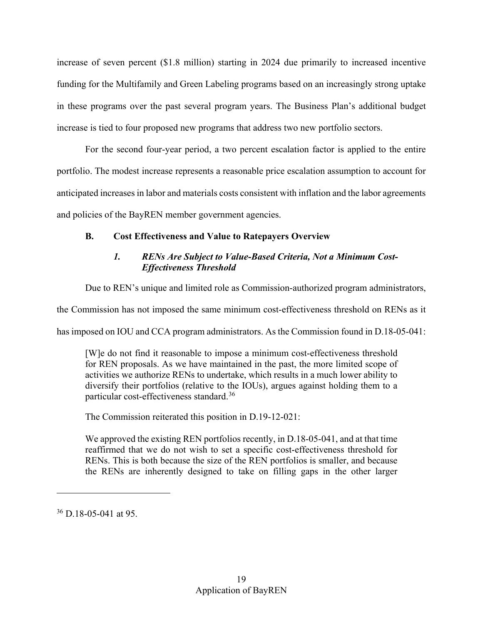increase of seven percent (\$1.8 million) starting in 2024 due primarily to increased incentive funding for the Multifamily and Green Labeling programs based on an increasingly strong uptake in these programs over the past several program years. The Business Plan's additional budget increase is tied to four proposed new programs that address two new portfolio sectors.

 and policies of the BayREN member government agencies. For the second four-year period, a two percent escalation factor is applied to the entire portfolio. The modest increase represents a reasonable price escalation assumption to account for anticipated increases in labor and materials costs consistent with inflation and the labor agreements

# <span id="page-22-1"></span><span id="page-22-0"></span>**B. Cost Effectiveness and Value to Ratepayers Overview**

## *1. RENs Are Subject to Value-Based Criteria, Not a Minimum Cost-Effectiveness Threshold*

Due to REN's unique and limited role as Commission-authorized program administrators,

the Commission has not imposed the same minimum cost-effectiveness threshold on RENs as it

has imposed on IOU and CCA program administrators. As the Commission found in D.18-05-041:<br>[W]e do not find it reasonable to impose a minimum cost-effectiveness threshold [W] e do not find it reasonable to impose a minimum cost-effectiveness threshold for REN proposals. As we have maintained in the past, the more limited scope of activities we authorize RENs to undertake, which results in a much lower ability to diversify their portfolios (relative to the IOUs), argues against holding them to a particular cost-effectiveness standard.[36](#page-22-2)

The Commission reiterated this position in D.19-12-021:

We approved the existing REN portfolios recently, in D.18-05-041, and at that time reaffirmed that we do not wish to set a specific cost-effectiveness threshold for RENs. This is both because the size of the REN portfolios is smaller, and because the RENs are inherently designed to take on filling gaps in the other larger

<span id="page-22-2"></span><sup>36</sup> D.18-05-041 at 95.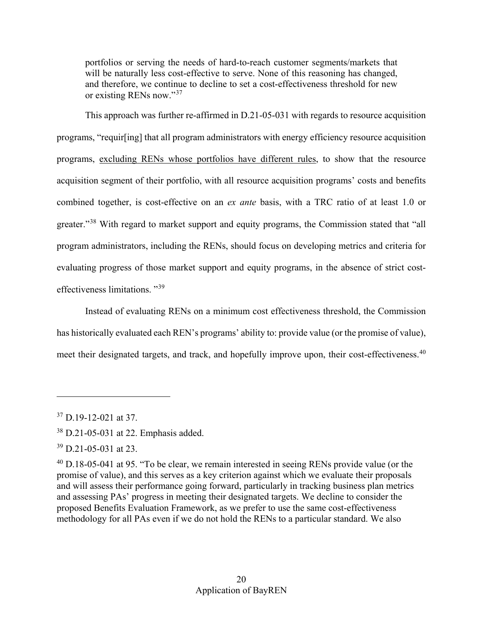portfolios or serving the needs of hard-to-reach customer segments/markets that will be naturally less cost-effective to serve. None of this reasoning has changed, and therefore, we continue to decline to set a cost-effectiveness threshold for new or existing RENs now."[37](#page-23-0)

 combined together, is cost-effective on an *ex ante* basis, with a TRC ratio of at least 1.0 or This approach was further re-affirmed in D.21-05-031 with regards to resource acquisition programs, "requir[ing] that all program administrators with energy efficiency resource acquisition programs, excluding RENs whose portfolios have different rules, to show that the resource acquisition segment of their portfolio, with all resource acquisition programs' costs and benefits greater."<sup>[38](#page-23-1)</sup> With regard to market support and equity programs, the Commission stated that "all program administrators, including the RENs, should focus on developing metrics and criteria for evaluating progress of those market support and equity programs, in the absence of strict costeffectiveness limitations. "[39](#page-23-2) 

Instead of evaluating RENs on a minimum cost effectiveness threshold, the Commission has historically evaluated each REN's programs' ability to: provide value (or the promise of value), meet their designated targets, and track, and hopefully improve upon, their cost-effectiveness.<sup>[40](#page-23-3)</sup>

<span id="page-23-0"></span> $37$  D.19-12-021 at 37.

<span id="page-23-1"></span><sup>38</sup> D.21-05-031 at 22. Emphasis added.

<span id="page-23-2"></span><sup>39</sup> D.21-05-031 at 23.

<span id="page-23-3"></span> $^{40}$  D.18-05-041 at 95. "To be clear, we remain interested in seeing RENs provide value (or the promise of value), and this serves as a key criterion against which we evaluate their proposals and will assess their performance going forward, particularly in tracking business plan metrics and assessing PAs' progress in meeting their designated targets. We decline to consider the proposed Benefits Evaluation Framework, as we prefer to use the same cost-effectiveness methodology for all PAs even if we do not hold the RENs to a particular standard. We also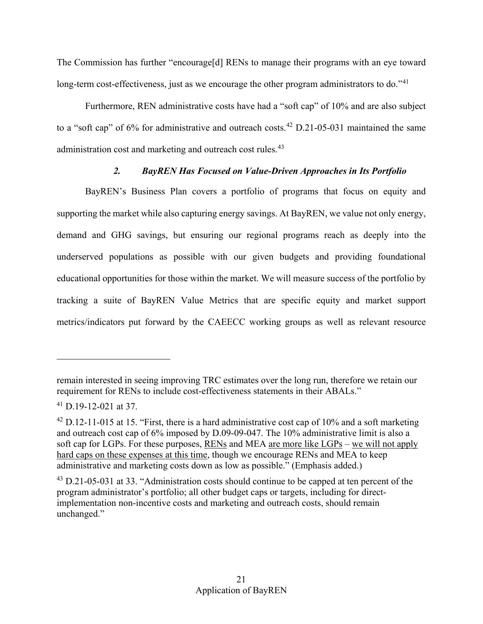long-term cost-effectiveness, just as we encourage the other program administrators to do."<sup>41</sup> The Commission has further "encourage[d] RENs to manage their programs with an eye toward

Furthermore, REN administrative costs have had a "soft cap" of 10% and are also subject to a "soft cap" of  $6\%$  for administrative and outreach costs.<sup>[42](#page-24-2)</sup> D.21-05-031 maintained the same administration cost and marketing and outreach cost rules.<sup>[43](#page-24-3)</sup>

## *2. BayREN Has Focused on Value-Driven Approaches in Its Portfolio*

<span id="page-24-0"></span>BayREN's Business Plan covers a portfolio of programs that focus on equity and supporting the market while also capturing energy savings. At BayREN, we value not only energy, demand and GHG savings, but ensuring our regional programs reach as deeply into the underserved populations as possible with our given budgets and providing foundational educational opportunities for those within the market. We will measure success of the portfolio by tracking a suite of BayREN Value Metrics that are specific equity and market support metrics/indicators put forward by the CAEECC working groups as well as relevant resource

remain interested in seeing improving TRC estimates over the long run, therefore we retain our requirement for RENs to include cost-effectiveness statements in their ABALs."

<span id="page-24-1"></span> $41$  D.19-12-021 at 37.

<span id="page-24-2"></span> $^{42}$  D.12-11-015 at 15. "First, there is a hard administrative cost cap of 10% and a soft marketing and outreach cost cap of 6% imposed by D.09-09-047. The 10% administrative limit is also a soft cap for LGPs. For these purposes, RENs and MEA are more like LGPs – we will not apply hard caps on these expenses at this time, though we encourage RENs and MEA to keep administrative and marketing costs down as low as possible." (Emphasis added.)

<span id="page-24-3"></span> $43$  D.21-05-031 at 33. "Administration costs should continue to be capped at ten percent of the program administrator's portfolio; all other budget caps or targets, including for directimplementation non-incentive costs and marketing and outreach costs, should remain unchanged."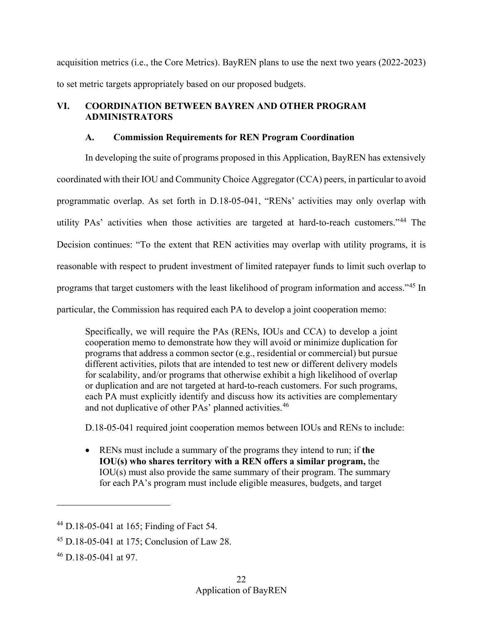acquisition metrics (i.e., the Core Metrics). BayREN plans to use the next two years (2022-2023) to set metric targets appropriately based on our proposed budgets.

## <span id="page-25-0"></span>**VI. COORDINATION BETWEEN BAYREN AND OTHER PROGRAM ADMINISTRATORS**

## **A. Commission Requirements for REN Program Coordination**

<span id="page-25-1"></span> coordinated with their IOU and Community Choice Aggregator (CCA) peers, in particular to avoid programmatic overlap. As set forth in D.18-05-041, "RENs' activities may only overlap with In developing the suite of programs proposed in this Application, BayREN has extensively utility PAs' activities when those activities are targeted at hard-to-reach customers."[44](#page-25-2) The Decision continues: "To the extent that REN activities may overlap with utility programs, it is reasonable with respect to prudent investment of limited ratepayer funds to limit such overlap to programs that target customers with the least likelihood of program information and access."[45](#page-25-3) In particular, the Commission has required each PA to develop a joint cooperation memo:

Specifically, we will require the PAs (RENs, IOUs and CCA) to develop a joint cooperation memo to demonstrate how they will avoid or minimize duplication for programs that address a common sector (e.g., residential or commercial) but pursue different activities, pilots that are intended to test new or different delivery models for scalability, and/or programs that otherwise exhibit a high likelihood of overlap or duplication and are not targeted at hard-to-reach customers. For such programs, each PA must explicitly identify and discuss how its activities are complementary and not duplicative of other PAs' planned activities.<sup>[46](#page-25-4)</sup>

D.18-05-041 required joint cooperation memos between IOUs and RENs to include:

• RENs must include a summary of the programs they intend to run; if **the IOU(s) who shares territory with a REN offers a similar program,** the IOU(s) must also provide the same summary of their program. The summary for each PA's program must include eligible measures, budgets, and target

<span id="page-25-2"></span><sup>44</sup> D.18-05-041 at 165; Finding of Fact 54.

<span id="page-25-3"></span><sup>45</sup> D.18-05-041 at 175; Conclusion of Law 28.

<span id="page-25-4"></span><sup>46</sup> D.18-05-041 at 97.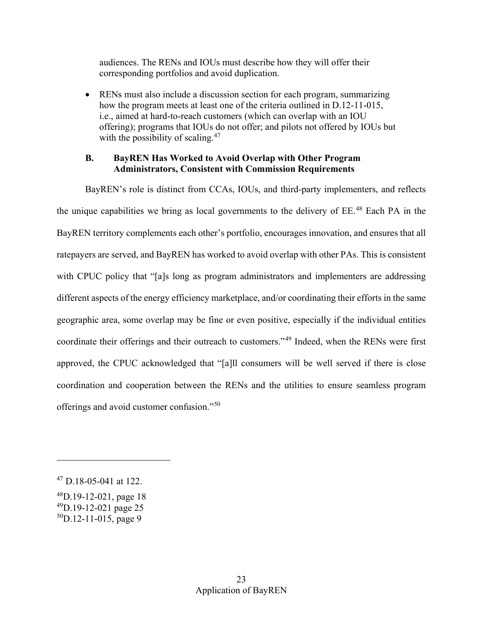audiences. The RENs and IOUs must describe how they will offer their corresponding portfolios and avoid duplication.

 • RENs must also include a discussion section for each program, summarizing how the program meets at least one of the criteria outlined in D.12-11-015, i.e., aimed at hard-to-reach customers (which can overlap with an IOU offering); programs that IOUs do not offer; and pilots not offered by IOUs but with the possibility of scaling. $47$ 

## <span id="page-26-0"></span>**B. BayREN Has Worked to Avoid Overlap with Other Program Administrators, Consistent with Commission Requirements**

 BayREN territory complements each other's portfolio, encourages innovation, and ensures that all different aspects of the energy efficiency marketplace, and/or coordinating their efforts in the same approved, the CPUC acknowledged that "[a]ll consumers will be well served if there is close BayREN's role is distinct from CCAs, IOUs, and third-party implementers, and reflects the unique capabilities we bring as local governments to the delivery of  $EE^{48}$  Each PA in the ratepayers are served, and BayREN has worked to avoid overlap with other PAs. This is consistent with CPUC policy that "[a]s long as program administrators and implementers are addressing geographic area, some overlap may be fine or even positive, especially if the individual entities coordinate their offerings and their outreach to customers."[49](#page-26-3) Indeed, when the RENs were first coordination and cooperation between the RENs and the utilities to ensure seamless program offerings and avoid customer confusion."[50](#page-26-4)

-

<span id="page-26-1"></span><sup>47</sup> D.18-05-041 at 122.

<span id="page-26-2"></span> $^{48}$ D.19-12-021, page 18

<span id="page-26-3"></span><sup>49</sup>D.19-12-021 page 25

<span id="page-26-4"></span> $50D.12-11-015$ , page 9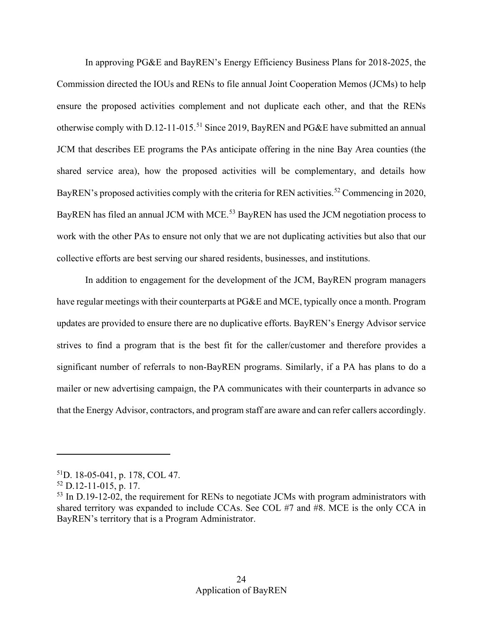Commission directed the IOUs and RENs to file annual Joint Cooperation Memos (JCMs) to help work with the other PAs to ensure not only that we are not duplicating activities but also that our In approving PG&E and BayREN's Energy Efficiency Business Plans for 2018-2025, the ensure the proposed activities complement and not duplicate each other, and that the RENs otherwise comply with D.12-11-015.<sup>[51](#page-27-0)</sup> Since 2019, BayREN and PG&E have submitted an annual JCM that describes EE programs the PAs anticipate offering in the nine Bay Area counties (the shared service area), how the proposed activities will be complementary, and details how BayREN's proposed activities comply with the criteria for REN activities.<sup>52</sup> Commencing in 2020, BayREN has filed an annual JCM with MCE.<sup>53</sup> BayREN has used the JCM negotiation process to collective efforts are best serving our shared residents, businesses, and institutions.

 In addition to engagement for the development of the JCM, BayREN program managers updates are provided to ensure there are no duplicative efforts. BayREN's Energy Advisor service mailer or new advertising campaign, the PA communicates with their counterparts in advance so that the Energy Advisor, contractors, and program staff are aware and can refer callers accordingly. have regular meetings with their counterparts at PG&E and MCE, typically once a month. Program strives to find a program that is the best fit for the caller/customer and therefore provides a significant number of referrals to non-BayREN programs. Similarly, if a PA has plans to do a

<u>.</u>

<span id="page-27-0"></span><sup>51</sup>D. 18-05-041, p. 178, COL 47.

<span id="page-27-1"></span> $52$  D.12-11-015, p. 17.

<span id="page-27-2"></span> $53$  In D.19-12-02, the requirement for RENs to negotiate JCMs with program administrators with shared territory was expanded to include CCAs. See COL #7 and #8. MCE is the only CCA in BayREN's territory that is a Program Administrator.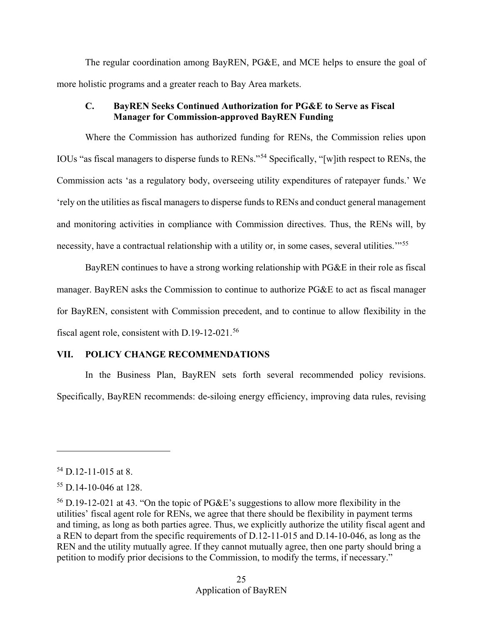The regular coordination among BayREN, PG&E, and MCE helps to ensure the goal of more holistic programs and a greater reach to Bay Area markets.

## <span id="page-28-0"></span>**C. BayREN Seeks Continued Authorization for PG&E to Serve as Fiscal Manager for Commission-approved BayREN Funding**

 IOUs "as fiscal managers to disperse funds to RENs."[54](#page-28-2) Specifically, "[w]ith respect to RENs, the Where the Commission has authorized funding for RENs, the Commission relies upon Commission acts 'as a regulatory body, overseeing utility expenditures of ratepayer funds.' We 'rely on the utilities as fiscal managers to disperse funds to RENs and conduct general management and monitoring activities in compliance with Commission directives. Thus, the RENs will, by necessity, have a contractual relationship with a utility or, in some cases, several utilities."<sup>[55](#page-28-3)</sup>

 manager. BayREN asks the Commission to continue to authorize PG&E to act as fiscal manager for BayREN, consistent with Commission precedent, and to continue to allow flexibility in the BayREN continues to have a strong working relationship with PG&E in their role as fiscal fiscal agent role, consistent with D.19-12-021.[56](#page-28-4)

## <span id="page-28-1"></span>**VII. POLICY CHANGE RECOMMENDATIONS**

In the Business Plan, BayREN sets forth several recommended policy revisions. Specifically, BayREN recommends: de-siloing energy efficiency, improving data rules, revising

<span id="page-28-2"></span><sup>54</sup> D.12-11-015 at 8.

<span id="page-28-3"></span> $55$  D.14-10-046 at 128.

<span id="page-28-4"></span><sup>56</sup> D.19-12-021 at 43. "On the topic of PG&E's suggestions to allow more flexibility in the utilities' fiscal agent role for RENs, we agree that there should be flexibility in payment terms and timing, as long as both parties agree. Thus, we explicitly authorize the utility fiscal agent and a REN to depart from the specific requirements of D.12-11-015 and D.14-10-046, as long as the REN and the utility mutually agree. If they cannot mutually agree, then one party should bring a petition to modify prior decisions to the Commission, to modify the terms, if necessary."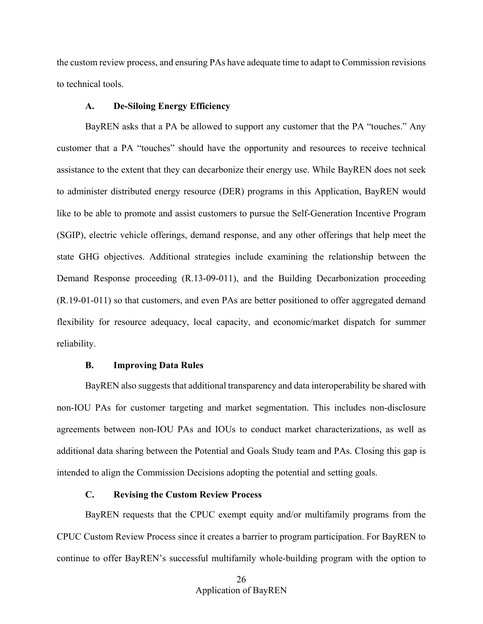the custom review process, and ensuring PAs have adequate time to adapt to Commission revisions to technical tools.

#### **A. De-Siloing Energy Efficiency**

<span id="page-29-0"></span> BayREN asks that a PA be allowed to support any customer that the PA "touches." Any like to be able to promote and assist customers to pursue the Self-Generation Incentive Program state GHG objectives. Additional strategies include examining the relationship between the flexibility for resource adequacy, local capacity, and economic/market dispatch for summer customer that a PA "touches" should have the opportunity and resources to receive technical assistance to the extent that they can decarbonize their energy use. While BayREN does not seek to administer distributed energy resource (DER) programs in this Application, BayREN would (SGIP), electric vehicle offerings, demand response, and any other offerings that help meet the Demand Response proceeding (R.13-09-011), and the Building Decarbonization proceeding (R.19-01-011) so that customers, and even PAs are better positioned to offer aggregated demand reliability.

### **B. Improving Data Rules**

<span id="page-29-1"></span> agreements between non-IOU PAs and IOUs to conduct market characterizations, as well as BayREN also suggests that additional transparency and data interoperability be shared with non-IOU PAs for customer targeting and market segmentation. This includes non-disclosure additional data sharing between the Potential and Goals Study team and PAs. Closing this gap is intended to align the Commission Decisions adopting the potential and setting goals.

### **C. Revising the Custom Review Process**

<span id="page-29-2"></span> BayREN requests that the CPUC exempt equity and/or multifamily programs from the CPUC Custom Review Process since it creates a barrier to program participation. For BayREN to continue to offer BayREN's successful multifamily whole-building program with the option to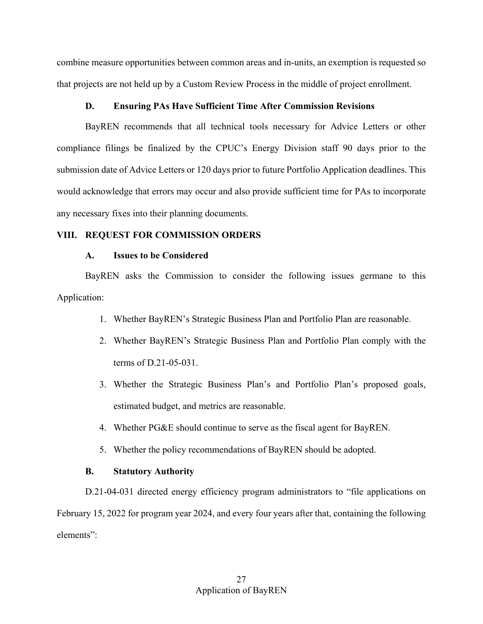combine measure opportunities between common areas and in-units, an exemption is requested so that projects are not held up by a Custom Review Process in the middle of project enrollment.

#### **D. Ensuring PAs Have Sufficient Time After Commission Revisions**

<span id="page-30-0"></span> BayREN recommends that all technical tools necessary for Advice Letters or other compliance filings be finalized by the CPUC's Energy Division staff 90 days prior to the submission date of Advice Letters or 120 days prior to future Portfolio Application deadlines. This would acknowledge that errors may occur and also provide sufficient time for PAs to incorporate any necessary fixes into their planning documents.

### <span id="page-30-2"></span><span id="page-30-1"></span>**VIII. REQUEST FOR COMMISSION ORDERS**

#### **A. Issues to be Considered**

BayREN asks the Commission to consider the following issues germane to this Application:

- 1. Whether BayREN's Strategic Business Plan and Portfolio Plan are reasonable.
- 2. Whether BayREN's Strategic Business Plan and Portfolio Plan comply with the terms of D.21-05-031.
- 3. Whether the Strategic Business Plan's and Portfolio Plan's proposed goals, estimated budget, and metrics are reasonable.
- 4. Whether PG&E should continue to serve as the fiscal agent for BayREN.
- 5. Whether the policy recommendations of BayREN should be adopted.

#### **B. Statutory Authority**

<span id="page-30-3"></span> D.21-04-031 directed energy efficiency program administrators to "file applications on February 15, 2022 for program year 2024, and every four years after that, containing the following elements":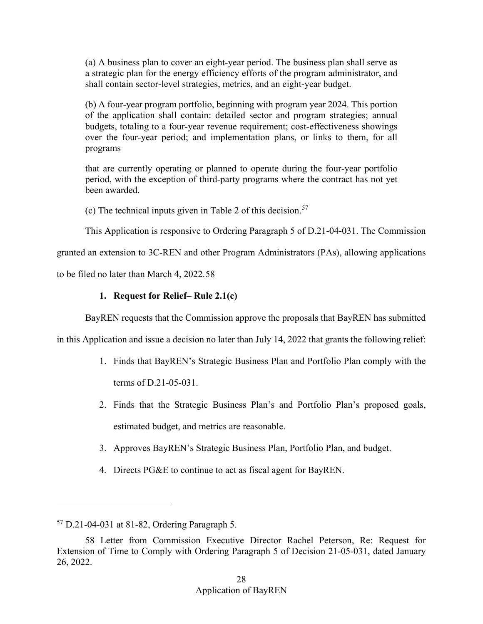(a) A business plan to cover an eight-year period. The business plan shall serve as a strategic plan for the energy efficiency efforts of the program administrator, and shall contain sector-level strategies, metrics, and an eight-year budget.

 over the four-year period; and implementation plans, or links to them, for all programs (b) A four-year program portfolio, beginning with program year 2024. This portion of the application shall contain: detailed sector and program strategies; annual budgets, totaling to a four-year revenue requirement; cost-effectiveness showings

that are currently operating or planned to operate during the four-year portfolio period, with the exception of third-party programs where the contract has not yet been awarded.

(c) The technical inputs given in Table 2 of this decision.<sup>57</sup>

This Application is responsive to Ordering Paragraph 5 of D.21-04-031. The Commission

granted an extension to 3C-REN and other Program Administrators (PAs), allowing applications

<span id="page-31-0"></span>to be filed no later than March 4, 2022.[58](#page-31-2) 

## **1. Request for Relief– Rule 2.1(c)**

BayREN requests that the Commission approve the proposals that BayREN has submitted

in this Application and issue a decision no later than July 14, 2022 that grants the following relief:

- 1. Finds that BayREN's Strategic Business Plan and Portfolio Plan comply with the terms of D.21-05-031.
- 2. Finds that the Strategic Business Plan's and Portfolio Plan's proposed goals, estimated budget, and metrics are reasonable.
- 3. Approves BayREN's Strategic Business Plan, Portfolio Plan, and budget.
- 4. Directs PG&E to continue to act as fiscal agent for BayREN.

<u>.</u>

<span id="page-31-1"></span><sup>57</sup> D.21-04-031 at 81-82, Ordering Paragraph 5.

<span id="page-31-2"></span><sup>58</sup> Letter from Commission Executive Director Rachel Peterson, Re: Request for Extension of Time to Comply with Ordering Paragraph 5 of Decision 21-05-031, dated January 26, 2022.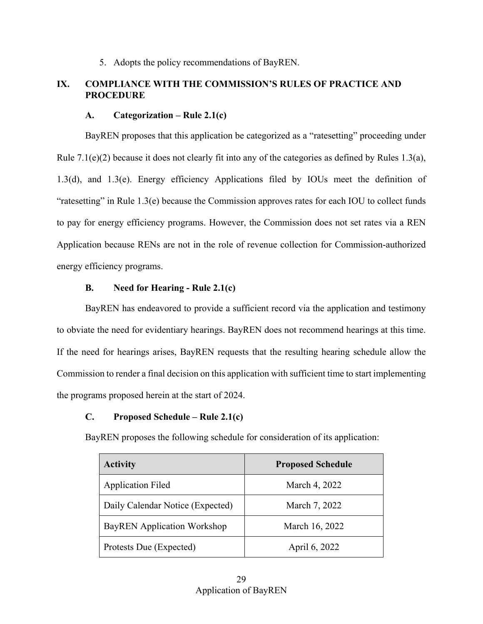5. Adopts the policy recommendations of BayREN.

## <span id="page-32-0"></span>**IX. COMPLIANCE WITH THE COMMISSION'S RULES OF PRACTICE AND PROCEDURE**

### **A. Categorization – Rule 2.1(c)**

<span id="page-32-1"></span> Rule 7.1(e)(2) because it does not clearly fit into any of the categories as defined by Rules 1.3(a), BayREN proposes that this application be categorized as a "ratesetting" proceeding under 1.3(d), and 1.3(e). Energy efficiency Applications filed by IOUs meet the definition of "ratesetting" in Rule 1.3(e) because the Commission approves rates for each IOU to collect funds to pay for energy efficiency programs. However, the Commission does not set rates via a REN Application because RENs are not in the role of revenue collection for Commission-authorized energy efficiency programs.

## **B. Need for Hearing - Rule 2.1(c)**

<span id="page-32-2"></span>BayREN has endeavored to provide a sufficient record via the application and testimony to obviate the need for evidentiary hearings. BayREN does not recommend hearings at this time. If the need for hearings arises, BayREN requests that the resulting hearing schedule allow the Commission to render a final decision on this application with sufficient time to start implementing the programs proposed herein at the start of 2024.

## <span id="page-32-3"></span>**C. Proposed Schedule – Rule 2.1(c)**

BayREN proposes the following schedule for consideration of its application:

| <b>Activity</b>                    | <b>Proposed Schedule</b> |
|------------------------------------|--------------------------|
| <b>Application Filed</b>           | March 4, 2022            |
| Daily Calendar Notice (Expected)   | March 7, 2022            |
| <b>BayREN</b> Application Workshop | March 16, 2022           |
| Protests Due (Expected)            | April 6, 2022            |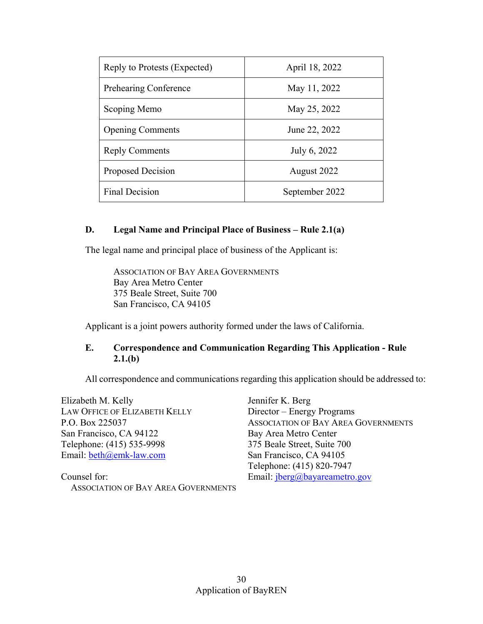| Reply to Protests (Expected) | April 18, 2022 |
|------------------------------|----------------|
| <b>Prehearing Conference</b> | May 11, 2022   |
| Scoping Memo                 | May 25, 2022   |
| <b>Opening Comments</b>      | June 22, 2022  |
| <b>Reply Comments</b>        | July 6, 2022   |
| <b>Proposed Decision</b>     | August 2022    |
| <b>Final Decision</b>        | September 2022 |

## <span id="page-33-0"></span>**D. Legal Name and Principal Place of Business – Rule 2.1(a)**

The legal name and principal place of business of the Applicant is:

ASSOCIATION OF BAY AREA GOVERNMENTS Bay Area Metro Center 375 Beale Street, Suite 700 San Francisco, CA 94105

Applicant is a joint powers authority formed under the laws of California.

## <span id="page-33-1"></span>**E. Correspondence and Communication Regarding This Application - Rule 2.1.(b)**

All correspondence and communications regarding this application should be addressed to:

Email: **beth**@emk-law.com San Francisco, CA 94105 Elizabeth M. Kelly Jennifer K. Berg LAW OFFICE OF ELIZABETH KELLY Director – Energy Programs San Francisco, CA 94122 Bay Area Metro Center Telephone: (415) 535-9998 375 Beale Street, Suite 700

Counsel for: ASSOCIATION OF BAY AREA GOVERNMENTS

P.O. Box 225037 ASSOCIATION OF BAY AREA GOVERNMENTS Telephone: (415) 820-7947 Email: jberg@bayareametro.gov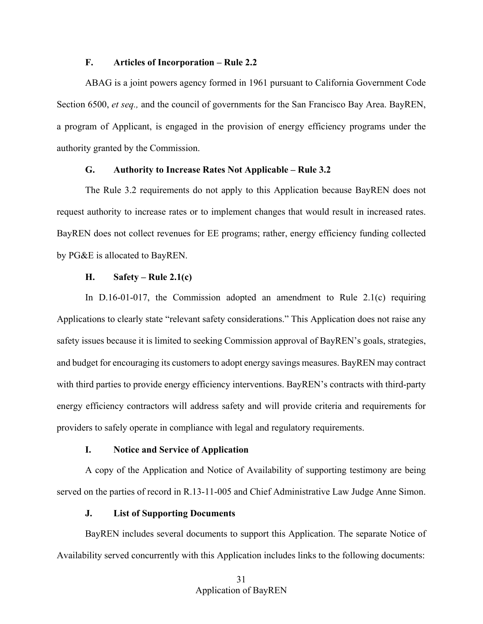#### **F. Articles of Incorporation – Rule 2.2**

<span id="page-34-0"></span>ABAG is a joint powers agency formed in 1961 pursuant to California Government Code Section 6500, *et seq.,* and the council of governments for the San Francisco Bay Area. BayREN, a program of Applicant, is engaged in the provision of energy efficiency programs under the authority granted by the Commission.

### **G. Authority to Increase Rates Not Applicable – Rule 3.2**

<span id="page-34-1"></span> by PG&E is allocated to BayREN. The Rule 3.2 requirements do not apply to this Application because BayREN does not request authority to increase rates or to implement changes that would result in increased rates. BayREN does not collect revenues for EE programs; rather, energy efficiency funding collected

### **H. Safety – Rule 2.1(c)**

<span id="page-34-2"></span> In D.16-01-017, the Commission adopted an amendment to Rule 2.1(c) requiring and budget for encouraging its customers to adopt energy savings measures. BayREN may contract Applications to clearly state "relevant safety considerations." This Application does not raise any safety issues because it is limited to seeking Commission approval of BayREN's goals, strategies, with third parties to provide energy efficiency interventions. BayREN's contracts with third-party energy efficiency contractors will address safety and will provide criteria and requirements for providers to safely operate in compliance with legal and regulatory requirements.

#### **I. Notice and Service of Application**

<span id="page-34-3"></span> A copy of the Application and Notice of Availability of supporting testimony are being served on the parties of record in R.13-11-005 and Chief Administrative Law Judge Anne Simon.

### **J. List of Supporting Documents**

<span id="page-34-4"></span> BayREN includes several documents to support this Application. The separate Notice of Availability served concurrently with this Application includes links to the following documents: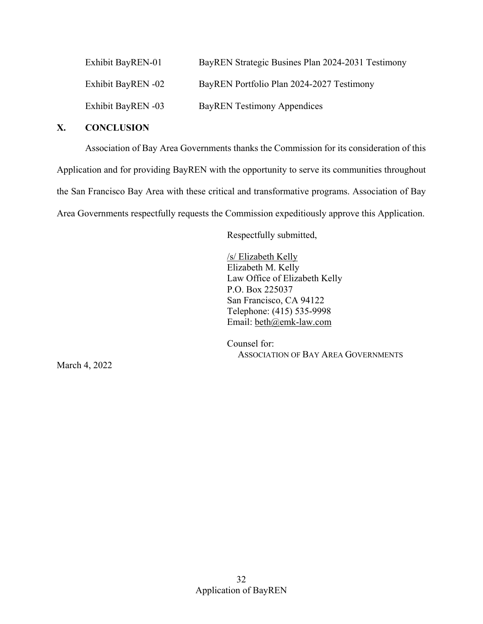| Exhibit BayREN-01  | BayREN Strategic Busines Plan 2024-2031 Testimony |
|--------------------|---------------------------------------------------|
| Exhibit BayREN -02 | BayREN Portfolio Plan 2024-2027 Testimony         |
| Exhibit BayREN -03 | <b>BayREN Testimony Appendices</b>                |

## <span id="page-35-0"></span>**X. CONCLUSION**

Association of Bay Area Governments thanks the Commission for its consideration of this Application and for providing BayREN with the opportunity to serve its communities throughout the San Francisco Bay Area with these critical and transformative programs. Association of Bay Area Governments respectfully requests the Commission expeditiously approve this Application.

Respectfully submitted,

/s/ Elizabeth Kelly Elizabeth M. Kelly Law Office of Elizabeth Kelly P.O. Box 225037 San Francisco, CA 94122 Telephone: (415) 535-9998 Email: [beth@emk-law.com](mailto:beth@emk-law.com) 

Counsel for: ASSOCIATION OF BAY AREA GOVERNMENTS

March 4, 2022